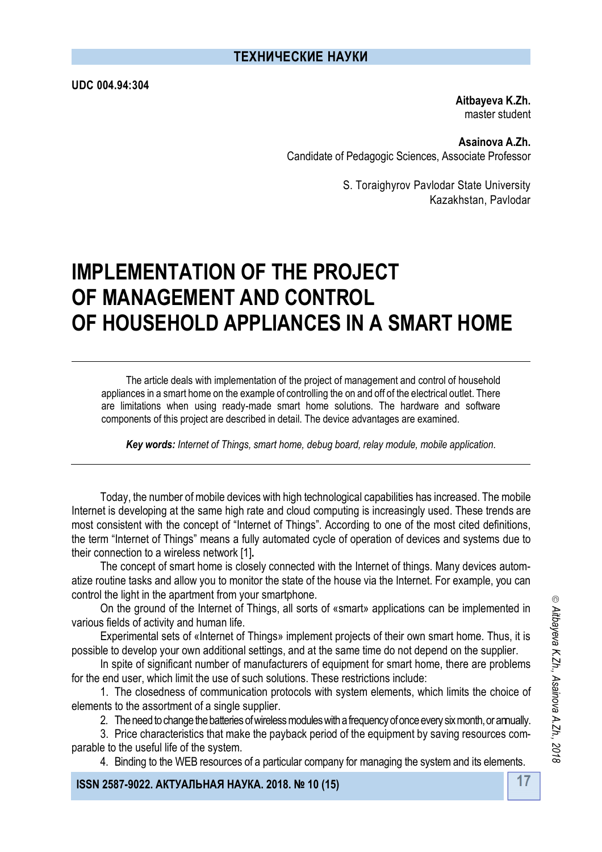**UDC 004.94:304**

**Aitbayeva K.Zh.** master student

**Asainova А.Zh.** Candidate of Pedagogic Sciences, Associate Professor

> S. Toraighyrov Pavlodar State University Kazakhstan, Pavlodar

# **IMPLEMENTATION OF THE PROJECT OF MANAGEMENT AND CONTROL OF HOUSEHOLD APPLIANCES IN A SMART HOME**

The article deals with implementation of the project of management and control of household appliances in a smart home on the example of controlling the on and off of the electrical outlet. There are limitations when using ready-made smart home solutions. The hardware and software components of this project are described in detail. The device advantages are examined.

*Key words: Internet of Things, smart home, debug board, relay module, mobile application.*

Today, the number of mobile devices with high technological capabilities has increased. The mobile Internet is developing at the same high rate and cloud computing is increasingly used. These trends are most consistent with the concept of "Internet of Things". According to one of the most cited definitions, the term "Internet of Things" means a fully automated cycle of operation of devices and systems due to their connection to a wireless network [1]**.**

The concept of smart home is closely connected with the Internet of things. Many devices automatize routine tasks and allow you to monitor the state of the house via the Internet. For example, you can control the light in the apartment from your smartphone.

On the ground of the Internet of Things, all sorts of «smart» applications can be implemented in various fields of activity and human life.

Experimental sets of «Internet of Things» implement projects of their own smart home. Thus, it is possible to develop your own additional settings, and at the same time do not depend on the supplier.

In spite of significant number of manufacturers of equipment for smart home, there are problems for the end user, which limit the use of such solutions. These restrictions include:

1. The closedness of communication protocols with system elements, which limits the choice of elements to the assortment of a single supplier.

2. The need to change the batteries of wireless modules with a frequency of once every six month, or annually.

3. Price characteristics that make the payback period of the equipment by saving resources comparable to the useful life of the system.

4. Binding to the WEB resources of a particular company for managing the system and its elements.

**17 ISSN 2587-9022. АКТУАЛЬНАЯ НАУКА. 2018. № 10 (15)**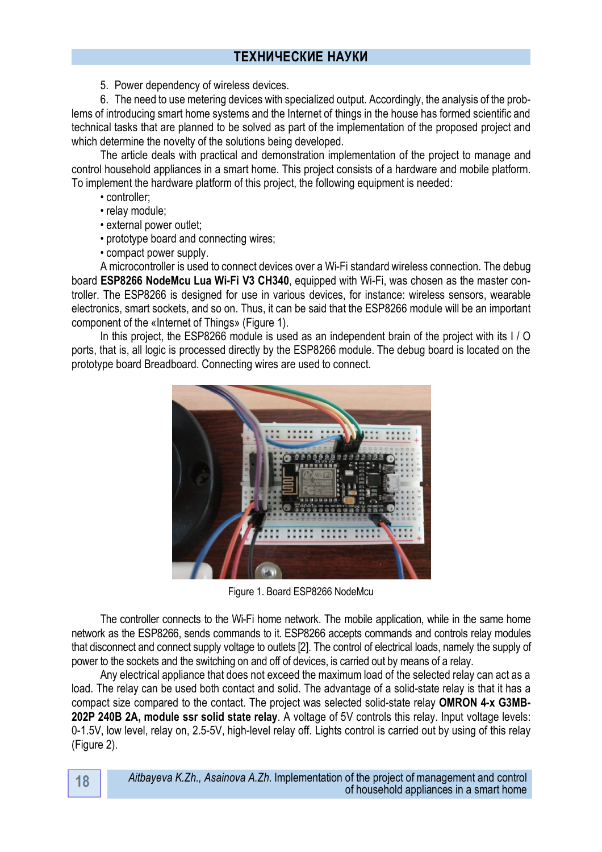5. Power dependency of wireless devices.

6. The need to use metering devices with specialized output. Accordingly, the analysis of the problems of introducing smart home systems and the Internet of things in the house has formed scientific and technical tasks that are planned to be solved as part of the implementation of the proposed project and which determine the novelty of the solutions being developed.

The article deals with practical and demonstration implementation of the project to manage and control household appliances in a smart home. This project consists of a hardware and mobile platform. To implement the hardware platform of this project, the following equipment is needed:

- controller;
- relay module;
- external power outlet;
- prototype board and connecting wires;
- compact power supply.

A microcontroller is used to connect devices over a Wi-Fi standard wireless connection. The debug board **ESP8266 NodeMcu Lua Wi-Fi V3 CH340**, equipped with Wi-Fi, was chosen as the master controller. The ESP8266 is designed for use in various devices, for instance: wireless sensors, wearable electronics, smart sockets, and so on. Thus, it can be said that the ESP8266 module will be an important component of the «Internet of Things» (Figure 1).

In this project, the ESP8266 module is used as an independent brain of the project with its I / O ports, that is, all logic is processed directly by the ESP8266 module. The debug board is located on the prototype board Breadboard. Connecting wires are used to connect.



Figure 1. Board ESP8266 NodeMcu

The controller connects to the Wi-Fi home network. The mobile application, while in the same home network as the ESP8266, sends commands to it. ESP8266 accepts commands and controls relay modules that disconnect and connect supply voltage to outlets [2]. The control of electrical loads, namely the supply of power to the sockets and the switching on and off of devices, is carried out by means of a relay.

Any electrical appliance that does not exceed the maximum load of the selected relay can act as a load. The relay can be used both contact and solid. The advantage of a solid-state relay is that it has a compact size compared to the contact. The project was selected solid-state relay **OMRON 4-x G3MB-202P 240В 2A, module ssr solid state relay**. A voltage of 5V controls this relay. Input voltage levels: 0-1.5V, low level, relay on, 2.5-5V, high-level relay off. Lights control is carried out by using of this relay (Figure 2).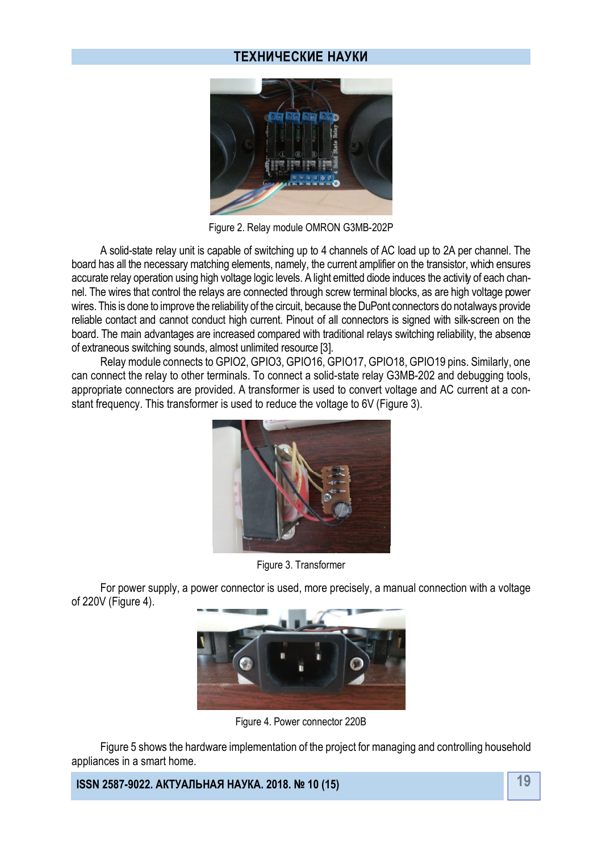### **ТЕХНИЧЕСКИЕ НАУКИ**



Figure 2. Relay module OMRON G3MB-202P

A solid-state relay unit is capable of switching up to 4 channels of AC load up to 2A per channel. The board has all the necessary matching elements, namely, the current amplifier on the transistor, which ensures accurate relay operation using high voltage logic levels. A light emitted diode induces the activity of each channel. The wires that control the relays are connected through screw terminal blocks, as are high voltage power wires. This is done to improve the reliability of the circuit, because the DuPont connectors do not always provide reliable contact and cannot conduct high current. Pinout of all connectors is signed with silk-screen on the board. The main advantages are increased compared with traditional relays switching reliability, the absence of extraneous switching sounds, almost unlimited resource [3].

Relay module connects to GPIO2, GPIO3, GPIO16, GPIO17, GPIO18, GPIO19 pins. Similarly, one can connect the relay to other terminals. To connect a solid-state relay G3MB-202 and debugging tools, appropriate connectors are provided. A transformer is used to convert voltage and AC current at a constant frequency. This transformer is used to reduce the voltage to 6V (Figure 3).



Figure 3. Transformer

For power supply, a power connector is used, more precisely, a manual connection with a voltage of 220V (Figure 4).



Figure 4. Power connector 220В

Figure 5 shows the hardware implementation of the project for managing and controlling household appliances in a smart home.

**19 ISSN 2587-9022. АКТУАЛЬНАЯ НАУКА. 2018. № 10 (15)**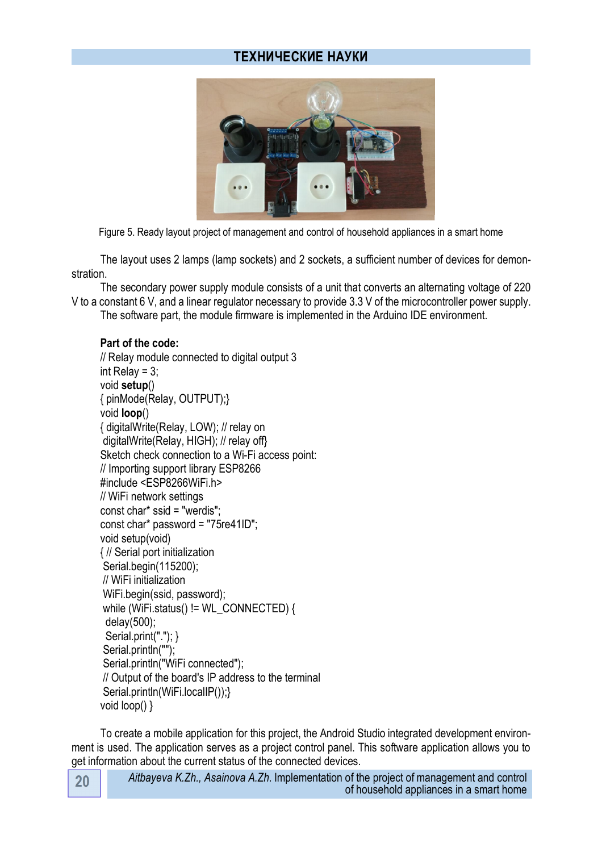## **ТЕХНИЧЕСКИЕ НАУКИ**



Figure 5. Ready layout project of management and control of household appliances in a smart home

The layout uses 2 lamps (lamp sockets) and 2 sockets, a sufficient number of devices for demonstration.

The secondary power supply module consists of a unit that converts an alternating voltage of 220 V to a constant 6 V, and a linear regulator necessary to provide 3.3 V of the microcontroller power supply.

The software part, the module firmware is implemented in the Arduino IDE environment.

#### **Part of the code:**

```
// Relay module connected to digital output 3
int Relay = 3:
void setup() 
{ pinMode(Relay, OUTPUT);}
void loop() 
{ digitalWrite(Relay, LOW); // relay on
digitalWrite(Relay, HIGH); // relay off}
Sketch check connection to a Wi-Fi access point:
// Importing support library ESP8266
#include <ESP8266WiFi.h>
// WiFi network settings
const char* ssid = "werdis";
const char* password = "75re41ID";
void setup(void)
{ // Serial port initialization
Serial.begin(115200);
// WiFi initialization
WiFi.begin(ssid, password);
while (WiFi.status() != WL_CONNECTED) {
  delay(500);
 Serial.print("."); }
Serial.println("");
Serial.println("WiFi connected");
// Output of the board's IP address to the terminal
Serial.println(WiFi.localIP());}
void loop() }
```
To create a mobile application for this project, the Android Studio integrated development environment is used. The application serves as a project control panel. This software application allows you to get information about the current status of the connected devices.